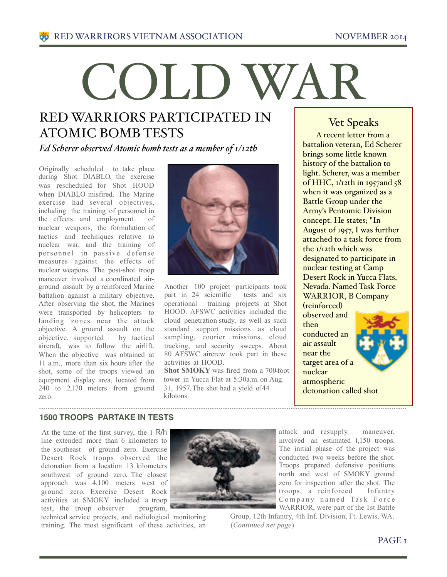# COLD WAR

# RED WARRIORS PARTICIPATED IN ATOMIC BOMB TESTS

*Ed Scherer observed Atomic bomb tests as a member of 1/12th*

Originally scheduled to take place during Shot DIABLO, the exercise was rescheduled for Shot HOOD when DIABLO misfired. The Marine exercise had several objectives, including the training of personnel in the effects and employment of nuclear weapons, the formulation of tactics and techniques relative to nuclear war, and the training of personnel in passive defense measures against the effects of nuclear weapons. The post-shot troop maneuver involved a coordinated airground assault by a reinforced Marine battalion against a military objective. After observing the shot, the Marines were transported by helicopters to landing zones near the attack objective. A ground assault on the objective, supported by tactical aircraft, was to follow the airlift. When the objective was obtained at 11 a.m., more than six hours after the shot, some of the troops viewed an equipment display area, located from 240 to 2,170 meters from ground zero.



Another 100 project participants took part in 24 scientific tests and six operational training projects at Shot HOOD. AFSWC activities included the cloud penetration study, as well as such standard support missions as cloud sampling, courier missions, cloud tracking, and security sweeps. About 80 AFSWC aircrew took part in these activities at HOOD.

**Shot SMOKY** was fired from a 700-foot tower in Yucca Flat at 5:30a.m. on Aug. 31, 1957.The shot had a yield of44 kilotons.

## Vet Speaks

A recent letter from a battalion veteran, Ed Scherer brings some little known history of the battalion to light. Scherer, was a member of HHC, 1/12th in 1957and 58 when it was organized as a Battle Group under the Army's Pentomic Division concept. He states; "In August of 1957, I was further attached to a task force from the 1/12th which was designated to participate in nuclear testing at Camp Desert Rock in Yucca Flats, Nevada. Named Task Force WARRIOR, B Company (reinforced)

observed and then conducted an air assault near the target area of a nuclear atmospheric detonation called shot



#### **1500 TROOPS PARTAKE IN TESTS**

At the time of the first survey, the 1 R/h line extended more than 6 kilometers to the southeast of ground zero. Exercise Desert Rock troops observed the detonation from a location 13 kilometers southwest of ground zero. The closest approach was 4,100 meters west of ground zero. Exercise Desert Rock activities at SMOKY included a troop test, the troop observer program,

technical service projects, and radiological monitoring training. The most significant of these activities, an



attack and resupply maneuver, involved an estimated I,150 troops. The initial phase of the project was conducted two weeks before the shot. Troops prepared defensive positions north and west of SMOKY ground zero for inspection after the shot. The troops, a reinforced Infantry Company named Task Force WARRIOR, were part of the 1st Battle

Group, 12th Infantry, 4th Inf. Division, Ft. Lewis, WA. (*Continued net page*)